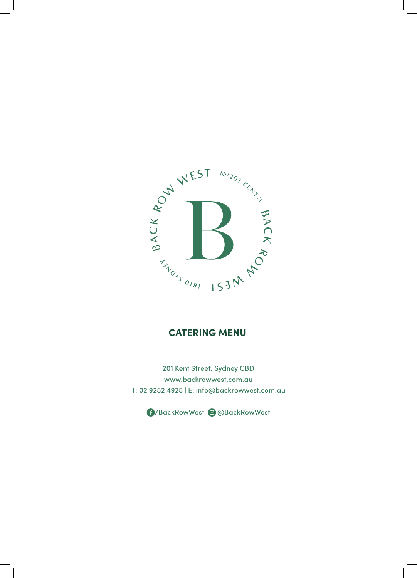

## **CATERING MENU**

201 Kent Street, Sydney CBD www.backrowwest.com.au T: 02 9252 4925 | E: info@backrowwest.com.au

/BackRowWest @BackRowWest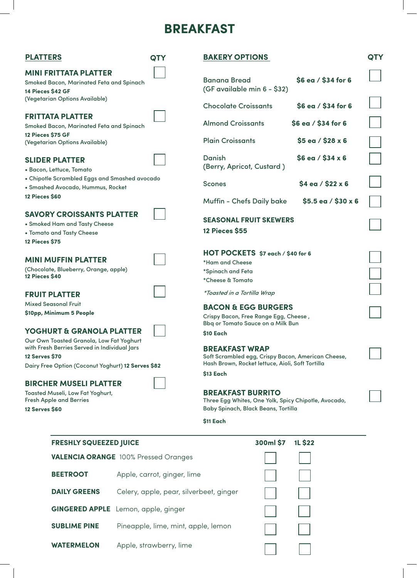## **BREAKFAST**

| <b>PLATTERS</b>                                                                                                                                                                                                                                                                                                                                 | QTY                                         | <b>BAKERY OPTIONS</b>                                                                                                                                     |                                            | QTY |  |
|-------------------------------------------------------------------------------------------------------------------------------------------------------------------------------------------------------------------------------------------------------------------------------------------------------------------------------------------------|---------------------------------------------|-----------------------------------------------------------------------------------------------------------------------------------------------------------|--------------------------------------------|-----|--|
| <b>MINI FRITTATA PLATTER</b><br>Smoked Bacon, Marinated Feta and Spinach<br>14 Pieces \$42 GF<br>(Vegetarian Options Available)                                                                                                                                                                                                                 |                                             | <b>Banana Bread</b><br>(GF available min 6 - \$32)                                                                                                        | \$6 ea / \$34 for 6                        |     |  |
| <b>FRITTATA PLATTER</b><br>Smoked Bacon, Marinated Feta and Spinach                                                                                                                                                                                                                                                                             |                                             | <b>Chocolate Croissants</b><br><b>Almond Croissants</b>                                                                                                   | \$6 ea / \$34 for 6<br>\$6 ea / \$34 for 6 |     |  |
| 12 Pieces \$75 GF<br>(Vegetarian Options Available)                                                                                                                                                                                                                                                                                             |                                             | <b>Plain Croissants</b>                                                                                                                                   | $$5$ ea / $$28 x 6$                        |     |  |
| <b>SLIDER PLATTER</b><br>• Bacon, Lettuce, Tomato<br>• Chipotle Scrambled Eggs and Smashed avocado                                                                                                                                                                                                                                              |                                             | <b>Danish</b><br>(Berry, Apricot, Custard)<br><b>Scones</b>                                                                                               | $$6$ ea / $$34 x 6$<br>$$4$ ea / $$22 x 6$ |     |  |
| · Smashed Avocado, Hummus, Rocket<br><b>12 Pieces \$60</b>                                                                                                                                                                                                                                                                                      |                                             | <b>Muffin - Chefs Daily bake</b>                                                                                                                          | $$5.5$ ea / $$30 x 6$                      |     |  |
| <b>SAVORY CROISSANTS PLATTER</b><br>• Smoked Ham and Tasty Cheese<br>• Tomato and Tasty Cheese<br><b>12 Pieces \$75</b>                                                                                                                                                                                                                         |                                             | <b>SEASONAL FRUIT SKEWERS</b><br><b>12 Pieces \$55</b>                                                                                                    |                                            |     |  |
| <b>MINI MUFFIN PLATTER</b><br>(Chocolate, Blueberry, Orange, apple)<br>12 Pieces \$40                                                                                                                                                                                                                                                           |                                             | HOT POCKETS \$7 each / \$40 for 6<br>*Ham and Cheese<br>*Spinach and Feta<br>*Cheese & Tomato                                                             |                                            |     |  |
| <b>FRUIT PLATTER</b>                                                                                                                                                                                                                                                                                                                            |                                             | *Toasted in a Tortilla Wrap                                                                                                                               |                                            |     |  |
| <b>Mixed Seasonal Fruit</b><br>\$10pp, Minimum 5 People                                                                                                                                                                                                                                                                                         |                                             | <b>BACON &amp; EGG BURGERS</b><br>Crispy Bacon, Free Range Egg, Cheese,<br>Bbq or Tomato Sauce on a Milk Bun                                              |                                            |     |  |
| <b>YOGHURT &amp; GRANOLA PLATTER</b><br>Our Own Toasted Granola, Low Fat Yoghurt<br>with Fresh Berries Served in Individual Jars<br><b>12 Serves \$70</b><br>Dairy Free Option (Coconut Yoghurt) 12 Serves \$82<br><b>BIRCHER MUSELI PLATTER</b><br>Toasted Museli, Low Fat Yoghurt,<br><b>Fresh Apple and Berries</b><br><b>12 Serves \$60</b> |                                             | \$10 Each<br><b>BREAKFAST WRAP</b><br>Soft Scrambled egg, Crispy Bacon, American Cheese,<br>Hash Brown, Rocket lettuce, Aioli, Soft Tortilla<br>\$13 Each |                                            |     |  |
|                                                                                                                                                                                                                                                                                                                                                 |                                             | <b>BREAKFAST BURRITO</b><br>Three Egg Whites, One Yolk, Spicy Chipotle, Avocado,<br>Baby Spinach, Black Beans, Tortilla                                   |                                            |     |  |
|                                                                                                                                                                                                                                                                                                                                                 |                                             | \$11 Each                                                                                                                                                 |                                            |     |  |
| <b>FRESHLY SQUEEZED JUICE</b>                                                                                                                                                                                                                                                                                                                   |                                             | 300ml \$7                                                                                                                                                 | <b>1L \$22</b>                             |     |  |
|                                                                                                                                                                                                                                                                                                                                                 | <b>VALENCIA ORANGE 100% Pressed Oranges</b> |                                                                                                                                                           |                                            |     |  |
| <b>BEETROOT</b>                                                                                                                                                                                                                                                                                                                                 | Apple, carrot, ginger, lime                 |                                                                                                                                                           |                                            |     |  |
| <b>DAILY GREENS</b>                                                                                                                                                                                                                                                                                                                             | Celery, apple, pear, silverbeet, ginger     |                                                                                                                                                           |                                            |     |  |
| <b>GINGERED APPLE</b>                                                                                                                                                                                                                                                                                                                           | Lemon, apple, ginger                        |                                                                                                                                                           |                                            |     |  |
| <b>SUBLIME PINE</b>                                                                                                                                                                                                                                                                                                                             | Pineapple, lime, mint, apple, lemon         |                                                                                                                                                           |                                            |     |  |
| <b>WATERMELON</b>                                                                                                                                                                                                                                                                                                                               | Apple, strawberry, lime                     |                                                                                                                                                           |                                            |     |  |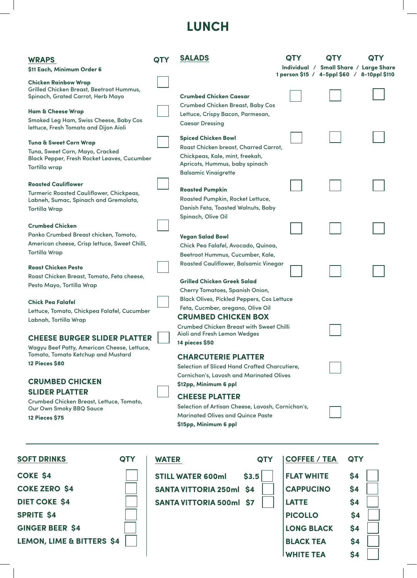# **LUNCH**

| <b>WRAPS</b><br>\$11 Each, Minimum Order 6                                                                                                                                             | OTY          | <b>SALADS</b>                                                                                                                                                                                                             | <b>QTY</b>          | OTY<br>Individual / Small Share / Large Share<br>1 person \$15 / 4-5ppl \$60 / 8-10ppl \$110 | <b>QTY</b> |
|----------------------------------------------------------------------------------------------------------------------------------------------------------------------------------------|--------------|---------------------------------------------------------------------------------------------------------------------------------------------------------------------------------------------------------------------------|---------------------|----------------------------------------------------------------------------------------------|------------|
| <b>Chicken Rainbow Wrap</b><br>Grilled Chicken Breast, Beetroot Hummus,<br>Spinach, Grated Carrot, Herb Mayo<br><b>Ham &amp; Cheese Wrap</b><br>Smoked Leg Ham, Swiss Cheese, Baby Cos |              | Crumbed Chicken Caesar<br><b>Crumbed Chicken Breast, Baby Cos</b><br>Lettuce, Crispy Bacon, Parmesan,                                                                                                                     |                     |                                                                                              |            |
| lettuce, Fresh Tomato and Dijon Aioli<br><b>Tuna &amp; Sweet Corn Wrap</b><br>Tuna, Sweet Corn, Mayo, Cracked<br>Black Pepper, Fresh Rocket Leaves, Cucumber<br>Tortilla wrap          |              | <b>Caesar Dressing</b><br><b>Spiced Chicken Bowl</b><br>Roast Chicken breast, Charred Carrot,<br>Chickpeas, Kale, mint, freekah,<br>Apricots, Hummus, baby spinach                                                        |                     |                                                                                              |            |
| <b>Roasted Cauliflower</b><br>Turmeric Roasted Cauliflower, Chickpeas,<br>Labneh, Sumac, Spinach and Gremolata,<br><b>Tortilla Wrap</b>                                                |              | <b>Balsamic Vinaigrette</b><br><b>Roasted Pumpkin</b><br>Roasted Pumpkin, Rocket Lettuce,<br>Danish Feta, Toasted Walnuts, Baby<br>Spinach, Olive Oil                                                                     |                     |                                                                                              |            |
| <b>Crumbed Chicken</b><br>Panko Crumbed Breast chicken, Tomoto,<br>American cheese, Crisp lettuce, Sweet Chilli,<br><b>Tortilla Wrap</b>                                               |              | <b>Vegan Salad Bowl</b><br>Chick Pea Falafel, Avocado, Quinoa,<br>Beetroot Hummus, Cucumber, Kale,                                                                                                                        |                     |                                                                                              |            |
| <b>Roast Chicken Pesto</b><br>Roast Chicken Breast, Tomato, Feta cheese,<br>Pesto Mayo, Tortilla Wrap                                                                                  |              | Roasted Cauliflower, Balsamic Vinegar<br><b>Grilled Chicken Greek Salad</b><br>Cherry Tomatoes, Spanish Onion,                                                                                                            |                     |                                                                                              |            |
| <b>Chick Pea Falafel</b><br>Lettuce, Tomato, Chickpea Falafel, Cucumber<br>Labnah, Tortilla Wrap<br><b>CHEESE BURGER SLIDER PLATTER</b><br>Wagyu Beef Patty, American Cheese, Lettuce, |              | <b>Black Olives, Pickled Peppers, Cos Lettuce</b><br>Feta, Cucmber, oregano, Olive Oil<br><b>CRUMBED CHICKEN BOX</b><br><b>Crumbed Chicken Breast with Sweet Chilli</b><br>Aioli and Fresh Lemon Wedges<br>14 pieces \$50 |                     |                                                                                              |            |
| Tomato, Tomato Ketchup and Mustard<br><b>12 Pieces \$80</b><br><b>CRUMBED CHICKEN</b>                                                                                                  |              | <b>CHARCUTERIE PLATTER</b><br>Selection of Sliced Hand Crafted Charcutiere,<br><b>Cornichon's, Lavosh and Marinated Olives</b><br>\$12pp, Minimum 6 ppl                                                                   |                     |                                                                                              |            |
| <b>SLIDER PLATTER</b><br>Crumbed Chicken Breast, Lettuce, Tomato,<br>Our Own Smoky BBQ Sauce<br><b>12 Pieces \$75</b>                                                                  |              | <b>CHEESE PLATTER</b><br>Selection of Artisan Cheese, Lavosh, Cornichon's,<br><b>Marinated Olives and Quince Paste</b><br>\$15pp, Minimum 6 ppl                                                                           |                     |                                                                                              |            |
| <b>SOFT DRINKS</b><br>QTY                                                                                                                                                              | <b>WATER</b> | <b>QTY</b>                                                                                                                                                                                                                | <b>COFFEE / TEA</b> | <b>QTY</b>                                                                                   |            |
| <b>COKE \$4</b>                                                                                                                                                                        |              | \$3.5<br><b>STILL WATER 600ml</b>                                                                                                                                                                                         | <b>FLAT WHITE</b>   | \$4                                                                                          |            |
| <b>COKE ZERO \$4</b>                                                                                                                                                                   |              | <b>SANTA VITTORIA 250ml</b><br><b>S4</b>                                                                                                                                                                                  | <b>CAPPUCINO</b>    | \$4                                                                                          |            |
| <b>DIET COKE \$4</b>                                                                                                                                                                   |              | <b>SANTA VITTORIA 500ml \$7</b>                                                                                                                                                                                           | <b>LATTE</b>        | \$4                                                                                          |            |
| <b>SPRITE \$4</b>                                                                                                                                                                      |              |                                                                                                                                                                                                                           | <b>PICOLLO</b>      |                                                                                              | \$4        |
| <b>GINGER BEER \$4</b>                                                                                                                                                                 |              |                                                                                                                                                                                                                           | <b>LONG BLACK</b>   | \$4                                                                                          |            |

**LEMON, LIME & BITTERS \$4** 

**BLACK TEA** \$4 **WHITE TEA \$4**